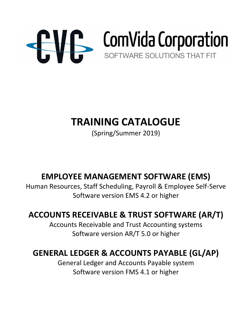

# **TRAINING CATALOGUE**

(Spring/Summer 2019)

## **EMPLOYEE MANAGEMENT SOFTWARE (EMS)**

Human Resources, Staff Scheduling, Payroll & Employee Self-Serve Software version EMS 4.2 or higher

## **ACCOUNTS RECEIVABLE & TRUST SOFTWARE (AR/T)**

Accounts Receivable and Trust Accounting systems Software version AR/T 5.0 or higher

## **GENERAL LEDGER & ACCOUNTS PAYABLE (GL/AP)**

General Ledger and Accounts Payable system Software version FMS 4.1 or higher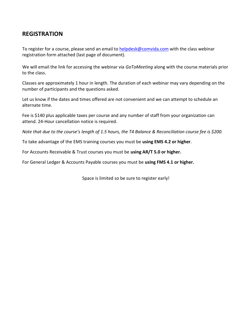### **REGISTRATION**

To register for a course, please send an email to [helpdesk@comvida.com](mailto:helpdesk@comvida.com) with the class webinar registration form attached (last page of document).

We will email the link for accessing the webinar via *GoToMeeting* along with the course materials prior to the class.

Classes are approximately 1 hour in length. The duration of each webinar may vary depending on the number of participants and the questions asked.

Let us know if the dates and times offered are not convenient and we can attempt to schedule an alternate time.

Fee is \$140 plus applicable taxes per course and any number of staff from your organization can attend. 24-Hour cancellation notice is required.

*Note that due to the course's length of 1.5 hours, the T4 Balance & Reconciliation course fee is \$200.*

To take advantage of the EMS training courses you must be **using EMS 4.2 or higher**.

For Accounts Receivable & Trust courses you must be **using AR/T 5.0 or higher.**

For General Ledger & Accounts Payable courses you must be **using FMS 4.1 or higher.**

Space is limited so be sure to register early!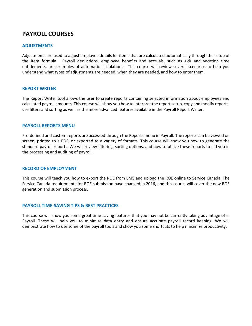### **PAYROLL COURSES**

### **ADJUSTMENTS**

Adjustments are used to adjust employee details for items that are calculated automatically through the setup of the item formula. Payroll deductions, employee benefits and accruals, such as sick and vacation time entitlements, are examples of automatic calculations. This course will review several scenarios to help you understand what types of adjustments are needed, when they are needed, and how to enter them.

#### **REPORT WRITER**

The Report Writer tool allows the user to create reports containing selected information about employees and calculated payroll amounts. This course will show you how to interpret the report setup, copy and modify reports, use filters and sorting as well as the more advanced features available in the Payroll Report Writer.

#### **PAYROLL REPORTS MENU**

Pre-defined and custom reports are accessed through the Reports menu in Payroll. The reports can be viewed on screen, printed to a PDF, or exported to a variety of formats. This course will show you how to generate the standard payroll reports. We will review filtering, sorting options, and how to utilize these reports to aid you in the processing and auditing of payroll.

#### **RECORD OF EMPLOYMENT**

This course will teach you how to export the ROE from EMS and upload the ROE online to Service Canada. The Service Canada requirements for ROE submission have changed in 2016, and this course will cover the new ROE generation and submission process.

#### **PAYROLL TIME-SAVING TIPS & BEST PRACTICES**

This course will show you some great time-saving features that you may not be currently taking advantage of in Payroll. These will help you to minimize data entry and ensure accurate payroll record keeping. We will demonstrate how to use some of the payroll tools and show you some shortcuts to help maximize productivity.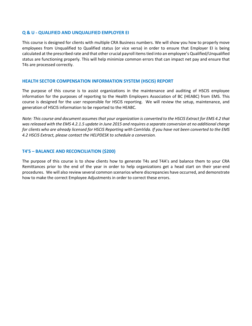#### **Q & U - QUALIFIED AND UNQUALIFIED EMPLOYER EI**

This course is designed for clients with multiple CRA Business numbers. We will show you how to properly move employees from Unqualified to Qualified status (or vice versa) in order to ensure that Employer EI is being calculated at the prescribed rate and that other crucial payroll items tied into an employee's Qualified/Unqualified status are functioning properly. This will help minimize common errors that can impact net pay and ensure that T4s are processed correctly.

#### **HEALTH SECTOR COMPENSATION INFORMATION SYSTEM (HSCIS) REPORT**

The purpose of this course is to assist organizations in the maintenance and auditing of HSCIS employee information for the purposes of reporting to the Health Employers Association of BC (HEABC) from EMS. This course is designed for the user responsible for HSCIS reporting. We will review the setup, maintenance, and generation of HSCIS information to be reported to the HEABC.

*Note: This course and document assumes that your organization is converted to the HSCIS Extract for EMS 4.2 that was released with the EMS 4.2.1.5 update in June 2015 and requires a separate conversion at no additional charge for clients who are already licensed for HSCIS Reporting with ComVida. If you have not been converted to the EMS 4.2 HSCIS Extract, please contact the HELPDESK to schedule a conversion.*

### **T4'S – BALANCE AND RECONCILIATION (\$200)**

The purpose of this course is to show clients how to generate T4s and T4A's and balance them to your CRA Remittances prior to the end of the year in order to help organizations get a head start on their year-end procedures. We will also review several common scenarios where discrepancies have occurred, and demonstrate how to make the correct Employee Adjustments in order to correct these errors.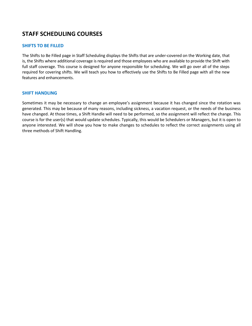### **STAFF SCHEDULING COURSES**

### **SHIFTS TO BE FILLED**

The Shifts to Be Filled page in Staff Scheduling displays the Shifts that are under-covered on the Working date, that is, the Shifts where additional coverage is required and those employees who are available to provide the Shift with full staff coverage. This course is designed for anyone responsible for scheduling. We will go over all of the steps required for covering shifts. We will teach you how to effectively use the Shifts to Be Filled page with all the new features and enhancements.

### **SHIFT HANDLING**

Sometimes it may be necessary to change an employee's assignment because it has changed since the rotation was generated. This may be because of many reasons, including sickness, a vacation request, or the needs of the business have changed. At those times, a Shift Handle will need to be performed, so the assignment will reflect the change. This course is for the user(s) that would update schedules. Typically, this would be Schedulers or Managers, but it is open to anyone interested. We will show you how to make changes to schedules to reflect the correct assignments using all three methods of Shift Handling.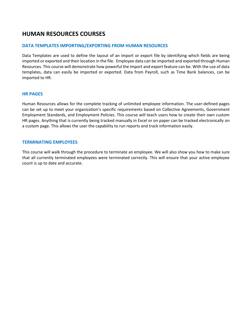### **HUMAN RESOURCES COURSES**

### **DATA TEMPLATES IMPORTING/EXPORTING FROM HUMAN RESOURCES**

Data Templates are used to define the layout of an import or export file by identifying which fields are being imported or exported and their location in the file. Employee data can be imported and exported through Human Resources. This course will demonstrate how powerful the import and export feature can be. With the use of data templates, data can easily be imported or exported. Data from Payroll, such as Time Bank balances, can be imported to HR.

### **HR PAGES**

Human Resources allows for the complete tracking of unlimited employee information. The user-defined pages can be set up to meet your organization's specific requirements based on Collective Agreements, Government Employment Standards, and Employment Policies. This course will teach users how to create their own custom HR pages. Anything that is currently being tracked manually in Excel or on paper can be tracked electronically on a custom page. This allows the user the capability to run reports and track information easily.

#### **TERMINATING EMPLOYEES**

This course will walk through the procedure to terminate an employee. We will also show you how to make sure that all currently terminated employees were terminated correctly. This will ensure that your active employee count is up to date and accurate.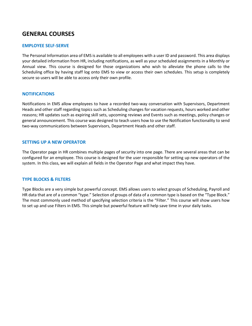### **GENERAL COURSES**

### **EMPLOYEE SELF-SERVE**

The Personal Information area of EMS is available to all employees with a user ID and password. This area displays your detailed information from HR, including notifications, as well as your scheduled assignments in a Monthly or Annual view. This course is designed for those organizations who wish to alleviate the phone calls to the Scheduling office by having staff log onto EMS to view or access their own schedules. This setup is completely secure so users will be able to access only their own profile.

### **NOTIFICATIONS**

Notifications in EMS allow employees to have a recorded two-way conversation with Supervisors, Department Heads and other staff regarding topics such as Scheduling changes for vacation requests, hours worked and other reasons; HR updates such as expiring skill sets, upcoming reviews and Events such as meetings, policy changes or general announcement. This course was designed to teach users how to use the Notification functionality to send two-way communications between Supervisors, Department Heads and other staff.

### **SETTING UP A NEW OPERATOR**

The Operator page in HR combines multiple pages of security into one page. There are several areas that can be configured for an employee. This course is designed for the user responsible for setting up new operators of the system. In this class, we will explain all fields in the Operator Page and what impact they have.

### **TYPE BLOCKS & FILTERS**

Type Blocks are a very simple but powerful concept. EMS allows users to select groups of Scheduling, Payroll and HR data that are of a common "type." Selection of groups of data of a common type is based on the "Type Block." The most commonly used method of specifying selection criteria is the "Filter." This course will show users how to set up and use Filters in EMS. This simple but powerful feature will help save time in your daily tasks.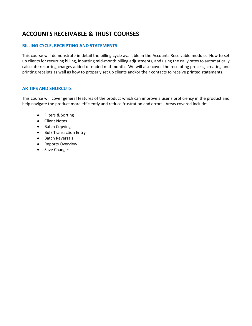### **ACCOUNTS RECEIVABLE & TRUST COURSES**

### **BILLING CYCLE, RECEIPTING AND STATEMENTS**

This course will demonstrate in detail the billing cycle available in the Accounts Receivable module. How to set up clients for recurring billing, inputting mid-month billing adjustments, and using the daily rates to automatically calculate recurring charges added or ended mid-month. We will also cover the receipting process, creating and printing receipts as well as how to properly set up clients and/or their contacts to receive printed statements.

### **AR TIPS AND SHORCUTS**

This course will cover general features of the product which can improve a user's proficiency in the product and help navigate the product more efficiently and reduce frustration and errors. Areas covered include:

- Filters & Sorting
- Client Notes
- Batch Copying
- Bulk Transaction Entry
- Batch Reversals
- Reports Overview
- Save Changes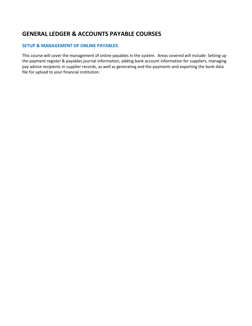### **GENERAL LEDGER & ACCOUNTS PAYABLE COURSES**

### **SETUP & MANAGEMENT OF ONLINE PAYABLES**

This course will cover the management of online payables in the system. Areas covered will include: Setting up the payment register & payables journal information, adding bank account information for suppliers, managing pay advice recipients in supplier records, as well as generating and the payments and exporting the bank data file for upload to your financial institution.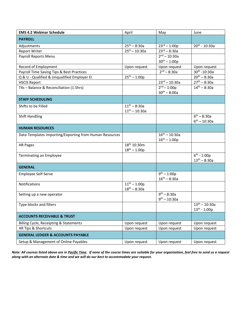| <b>EMS 4.2 Webinar Schedule</b>                         | April                   | May                       | June                                |
|---------------------------------------------------------|-------------------------|---------------------------|-------------------------------------|
| <b>PAYROLL</b>                                          |                         |                           |                                     |
| Adjustments                                             | $25^{th} - 8:30a$       | $23^{\text{rd}} - 1:00p$  | $20^{th}$ - 10:30a                  |
| <b>Report Writer</b>                                    | $25^{th} - 10:30a$      | $23^{\text{rd}} - 8:30a$  |                                     |
| Payroll Reports Menu                                    |                         | $2^{nd} - 10:30a$         |                                     |
|                                                         |                         | $30^{th} - 1:00p$         |                                     |
| Record of Employment                                    | Upon request            | Upon request              | Upon request                        |
| Payroll Time Saving Tips & Best Practices               |                         | $2^{nd} - 8:30a$          | 30th - 10:30a                       |
| Q & U - Qualified & Unqualified Employer El             | $25^{th} - 1:00p$       |                           | $20^{th} - 8:30a$                   |
| <b>HSCIS Report</b>                                     |                         | $23^{\text{rd}} - 10:30a$ | $27^{th} - 8:30a$                   |
| T4s - Balance & Reconciliation (1.5hrs)                 |                         | $2^{nd} - 1:00p$          | $14^{th} - 8:30a$                   |
|                                                         |                         | $30^{th} - 8:00a$         |                                     |
| <b>STAFF SCHEDULING</b>                                 |                         |                           |                                     |
| Shifts to be Filled                                     | $11^{th} - 8:30a$       |                           |                                     |
|                                                         | $11^{th} - 10:30a$      |                           |                                     |
| <b>Shift Handling</b>                                   |                         |                           | $6^{th} - 8:30a$                    |
|                                                         |                         |                           | $6^{th} - 10:30a$                   |
| <b>HUMAN RESOURCES</b>                                  |                         |                           |                                     |
| Data Templates Importing/Exporting from Human Resources |                         | $16^{th} - 10:30a$        |                                     |
|                                                         |                         | $16^{th} - 1:00p$         |                                     |
| HR Pages                                                | 18 <sup>th</sup> 10:30m |                           |                                     |
|                                                         | $18^{th} - 1:00p$       |                           |                                     |
| Terminating an Employee                                 |                         |                           | $\frac{1}{6}$ <sup>th</sup> - 1:00p |
|                                                         |                         |                           | $13^{th} - 8:30a$                   |
| <b>GENERAL</b>                                          |                         |                           |                                     |
| Employee Self-Serve                                     |                         | $9^{th} - 1:00p$          |                                     |
|                                                         |                         | $16^{th} - 8:30a$         |                                     |
| Notifications                                           | $11^{th} - 1:00p$       |                           |                                     |
|                                                         | $18^{th} - 8:30a$       |                           |                                     |
| Setting up a new operator                               |                         | $9^{th} - 8:30a$          |                                     |
|                                                         |                         | $9^{th} - 10:30a$         |                                     |
| Type blocks and filters                                 |                         |                           | $13^{th} - 10:30a$                  |
|                                                         |                         |                           | $13^{th} - 1:00p$                   |
| <b>ACCOUNTS RECEIVABLE &amp; TRUST</b>                  |                         |                           |                                     |
| <b>Billing Cycle, Receipting &amp; Statements</b>       | Upon request            | Upon request              | Upon request                        |
| AR Tips & Shortcuts                                     | Upon request            | Upon request              | Upon request                        |
| <b>GENERAL LEDGER &amp; ACCOUNTS PAYABLE</b>            |                         |                           |                                     |
| Setup & Management of Online Payables                   | Upon request            | Upon request              | Upon request                        |

*Note: All courses listed above are in Pacific Time. If none of the course times are suitable for your organization, feel free to send us a request along with an alternate date & time and we will do our best to accommodate your request.*